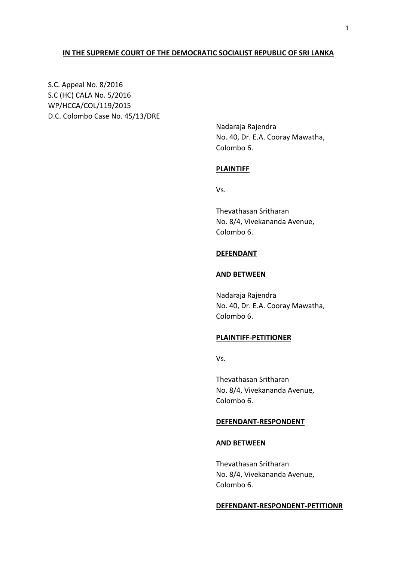## **IN THE SUPREME COURT OF THE DEMOCRATIC SOCIALIST REPUBLIC OF SRI LANKA**

S.C. Appeal No. 8/2016 S.C (HC) CALA No. 5/2016 WP/HCCA/COL/119/2015 D.C. Colombo Case No. 45/13/DRE

> Nadaraja Rajendra No. 40, Dr. E.A. Cooray Mawatha, Colombo 6.

#### **PLAINTIFF**

Vs.

Thevathasan Sritharan No. 8/4, Vivekananda Avenue, Colombo 6.

## **DEFENDANT**

## **AND BETWEEN**

Nadaraja Rajendra No. 40, Dr. E.A. Cooray Mawatha, Colombo 6.

#### **PLAINTIFF-PETITIONER**

Vs.

Thevathasan Sritharan No. 8/4, Vivekananda Avenue, Colombo 6.

#### **DEFENDANT-RESPONDENT**

### **AND BETWEEN**

Thevathasan Sritharan No. 8/4, Vivekananda Avenue, Colombo 6.

#### **DEFENDANT-RESPONDENT-PETITIONR**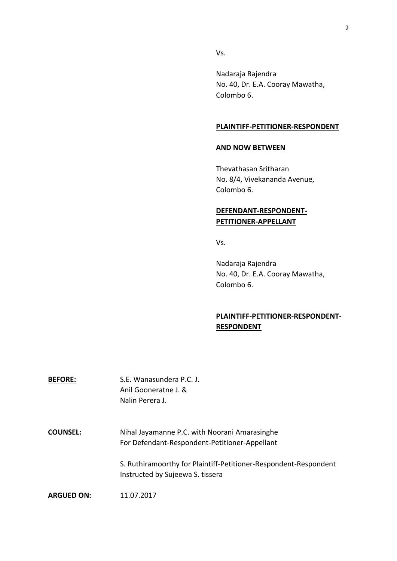Vs.

Nadaraja Rajendra No. 40, Dr. E.A. Cooray Mawatha, Colombo 6.

### **PLAINTIFF-PETITIONER-RESPONDENT**

#### **AND NOW BETWEEN**

Thevathasan Sritharan No. 8/4, Vivekananda Avenue, Colombo 6.

# **DEFENDANT-RESPONDENT-PETITIONER-APPELLANT**

Vs.

Nadaraja Rajendra No. 40, Dr. E.A. Cooray Mawatha, Colombo 6.

# **PLAINTIFF-PETITIONER-RESPONDENT-RESPONDENT**

**BEFORE:** S.E. Wanasundera P.C. J. Anil Gooneratne J. & Nalin Perera J.

**COUNSEL:** Nihal Jayamanne P.C. with Noorani Amarasinghe For Defendant-Respondent-Petitioner-Appellant

> S. Ruthiramoorthy for Plaintiff-Petitioner-Respondent-Respondent Instructed by Sujeewa S. tissera

**ARGUED ON:** 11.07.2017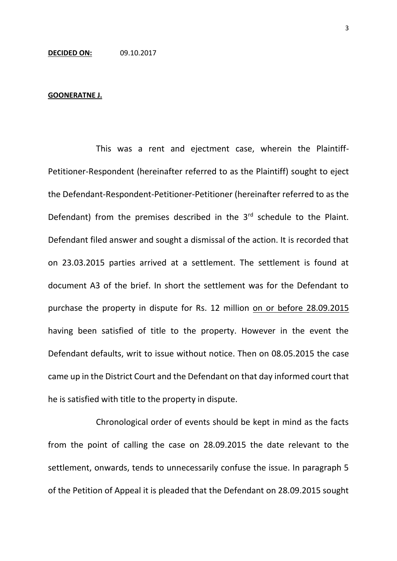#### **GOONERATNE J.**

This was a rent and ejectment case, wherein the Plaintiff-Petitioner-Respondent (hereinafter referred to as the Plaintiff) sought to eject the Defendant-Respondent-Petitioner-Petitioner (hereinafter referred to as the Defendant) from the premises described in the 3<sup>rd</sup> schedule to the Plaint. Defendant filed answer and sought a dismissal of the action. It is recorded that on 23.03.2015 parties arrived at a settlement. The settlement is found at document A3 of the brief. In short the settlement was for the Defendant to purchase the property in dispute for Rs. 12 million on or before 28.09.2015 having been satisfied of title to the property. However in the event the Defendant defaults, writ to issue without notice. Then on 08.05.2015 the case came up in the District Court and the Defendant on that day informed court that he is satisfied with title to the property in dispute.

Chronological order of events should be kept in mind as the facts from the point of calling the case on 28.09.2015 the date relevant to the settlement, onwards, tends to unnecessarily confuse the issue. In paragraph 5 of the Petition of Appeal it is pleaded that the Defendant on 28.09.2015 sought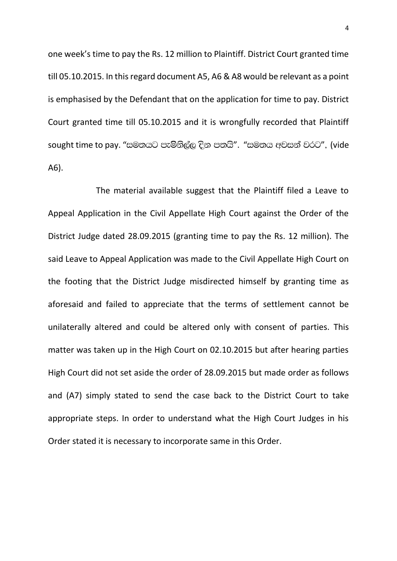one week's time to pay the Rs. 12 million to Plaintiff. District Court granted time till 05.10.2015. In this regard document A5, A6 & A8 would be relevant as a point is emphasised by the Defendant that on the application for time to pay. District Court granted time till 05.10.2015 and it is wrongfully recorded that Plaintiff sought time to pay. "සමතයට පැමිනිල්ල දින පතයි". "සමතය අවසන් වරට", (vide A6).

The material available suggest that the Plaintiff filed a Leave to Appeal Application in the Civil Appellate High Court against the Order of the District Judge dated 28.09.2015 (granting time to pay the Rs. 12 million). The said Leave to Appeal Application was made to the Civil Appellate High Court on the footing that the District Judge misdirected himself by granting time as aforesaid and failed to appreciate that the terms of settlement cannot be unilaterally altered and could be altered only with consent of parties. This matter was taken up in the High Court on 02.10.2015 but after hearing parties High Court did not set aside the order of 28.09.2015 but made order as follows and (A7) simply stated to send the case back to the District Court to take appropriate steps. In order to understand what the High Court Judges in his Order stated it is necessary to incorporate same in this Order.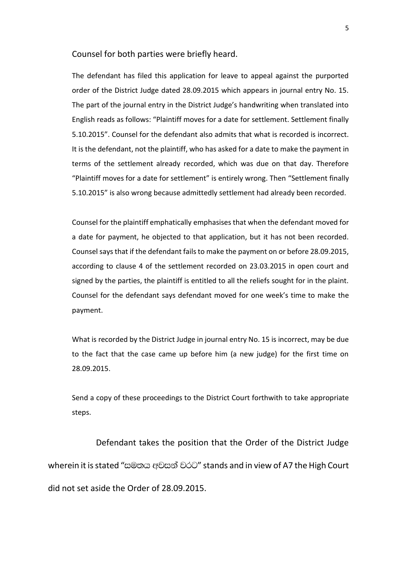Counsel for both parties were briefly heard.

The defendant has filed this application for leave to appeal against the purported order of the District Judge dated 28.09.2015 which appears in journal entry No. 15. The part of the journal entry in the District Judge's handwriting when translated into English reads as follows: "Plaintiff moves for a date for settlement. Settlement finally 5.10.2015". Counsel for the defendant also admits that what is recorded is incorrect. It is the defendant, not the plaintiff, who has asked for a date to make the payment in terms of the settlement already recorded, which was due on that day. Therefore "Plaintiff moves for a date for settlement" is entirely wrong. Then "Settlement finally 5.10.2015" is also wrong because admittedly settlement had already been recorded.

Counsel for the plaintiff emphatically emphasises that when the defendant moved for a date for payment, he objected to that application, but it has not been recorded. Counsel says that if the defendant fails to make the payment on or before 28.09.2015, according to clause 4 of the settlement recorded on 23.03.2015 in open court and signed by the parties, the plaintiff is entitled to all the reliefs sought for in the plaint. Counsel for the defendant says defendant moved for one week's time to make the payment.

What is recorded by the District Judge in journal entry No. 15 is incorrect, may be due to the fact that the case came up before him (a new judge) for the first time on 28.09.2015.

Send a copy of these proceedings to the District Court forthwith to take appropriate steps.

Defendant takes the position that the Order of the District Judge wherein it is stated "සමතය අවසන් වරට" stands and in view of A7 the High Court did not set aside the Order of 28.09.2015.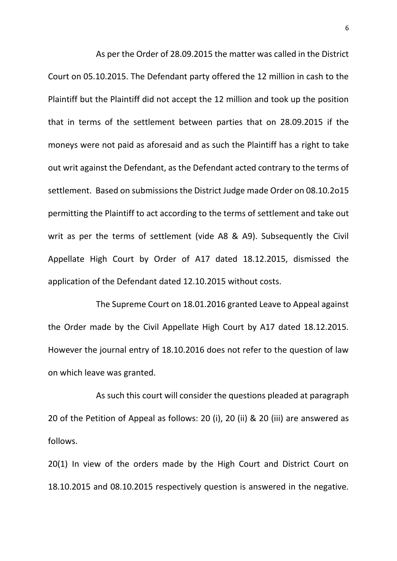As per the Order of 28.09.2015 the matter was called in the District Court on 05.10.2015. The Defendant party offered the 12 million in cash to the Plaintiff but the Plaintiff did not accept the 12 million and took up the position that in terms of the settlement between parties that on 28.09.2015 if the moneys were not paid as aforesaid and as such the Plaintiff has a right to take out writ against the Defendant, as the Defendant acted contrary to the terms of settlement. Based on submissions the District Judge made Order on 08.10.2o15 permitting the Plaintiff to act according to the terms of settlement and take out writ as per the terms of settlement (vide A8 & A9). Subsequently the Civil Appellate High Court by Order of A17 dated 18.12.2015, dismissed the application of the Defendant dated 12.10.2015 without costs.

The Supreme Court on 18.01.2016 granted Leave to Appeal against the Order made by the Civil Appellate High Court by A17 dated 18.12.2015. However the journal entry of 18.10.2016 does not refer to the question of law on which leave was granted.

As such this court will consider the questions pleaded at paragraph 20 of the Petition of Appeal as follows: 20 (i), 20 (ii) & 20 (iii) are answered as follows.

20(1) In view of the orders made by the High Court and District Court on 18.10.2015 and 08.10.2015 respectively question is answered in the negative.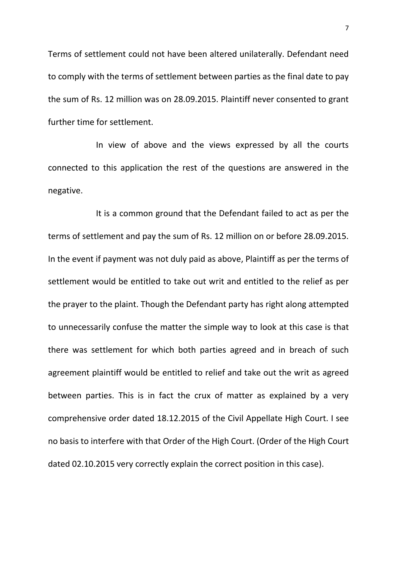Terms of settlement could not have been altered unilaterally. Defendant need to comply with the terms of settlement between parties as the final date to pay the sum of Rs. 12 million was on 28.09.2015. Plaintiff never consented to grant further time for settlement.

In view of above and the views expressed by all the courts connected to this application the rest of the questions are answered in the negative.

It is a common ground that the Defendant failed to act as per the terms of settlement and pay the sum of Rs. 12 million on or before 28.09.2015. In the event if payment was not duly paid as above, Plaintiff as per the terms of settlement would be entitled to take out writ and entitled to the relief as per the prayer to the plaint. Though the Defendant party has right along attempted to unnecessarily confuse the matter the simple way to look at this case is that there was settlement for which both parties agreed and in breach of such agreement plaintiff would be entitled to relief and take out the writ as agreed between parties. This is in fact the crux of matter as explained by a very comprehensive order dated 18.12.2015 of the Civil Appellate High Court. I see no basis to interfere with that Order of the High Court. (Order of the High Court dated 02.10.2015 very correctly explain the correct position in this case).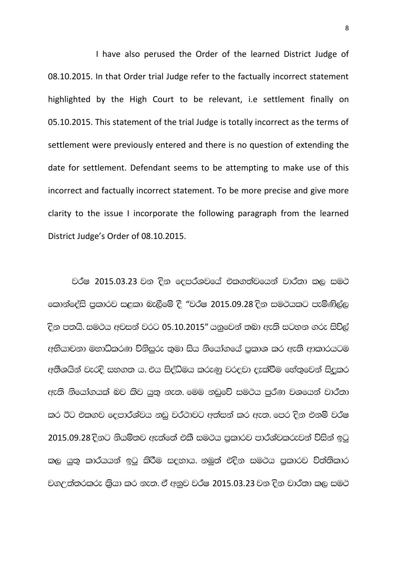I have also perused the Order of the learned District Judge of 08.10.2015. In that Order trial Judge refer to the factually incorrect statement highlighted by the High Court to be relevant, i.e settlement finally on 05.10.2015. This statement of the trial Judge is totally incorrect as the terms of settlement were previously entered and there is no question of extending the date for settlement. Defendant seems to be attempting to make use of this incorrect and factually incorrect statement. To be more precise and give more clarity to the issue I incorporate the following paragraph from the learned District Judge's Order of 08.10.2015.

වර්ෂ 2015.03.23 වන දින දෙපර්ශවයේ එකගත්වයෙන් වාර්තා කල සමථ කොන්දේසි පුකාරව සළකා බැලීමේ දී "වර්ෂ 2015.09.28 දින සමථයකට පැමිණිල්ල <u>දින පතයි. සමථය අවසන් වරට 05.10.2015" යනුවෙන් තබා ඇති සටහන ගරු සිව්ල්</u> අභියාචනා මහාධිකරණ විනිසුරු තුමා සිය නියෝගයේ පුකාශ කර ඇති ආකාරයටම අතීශයින් වැරදි සහගත ය. එය සිද්ධිමය කරුණු වරදවා දැක්වීම හේතුවෙන් සිදුකර ඇති නියෝගයක් බව කිව යුතු නැත. මෙම නඩුවේ සමථය පුර්ණ වශයෙන් වාර්තා කර ඊට එකගව දෙපාර්ශ්වය නඩු වර්ථාවට අත්සන් කර ඇත. පෙර දින එනම් වර්ෂ 2015.09.28 දිනට නියමිතව ඇත්තේ එකී සමථය පුකාරව පාර්ශ්වකරුවන් විසින් ඉටු කල යුතු කාරයයන් ඉටු කිරීම සදහාය. නමුත් එදින සමථය පුකාරව විත්තිකාර වගඋත්තරකරු කියා කර නැත. ඒ අනුව වර්ෂ 2015.03.23 වන දින වාර්තා කල සමථ